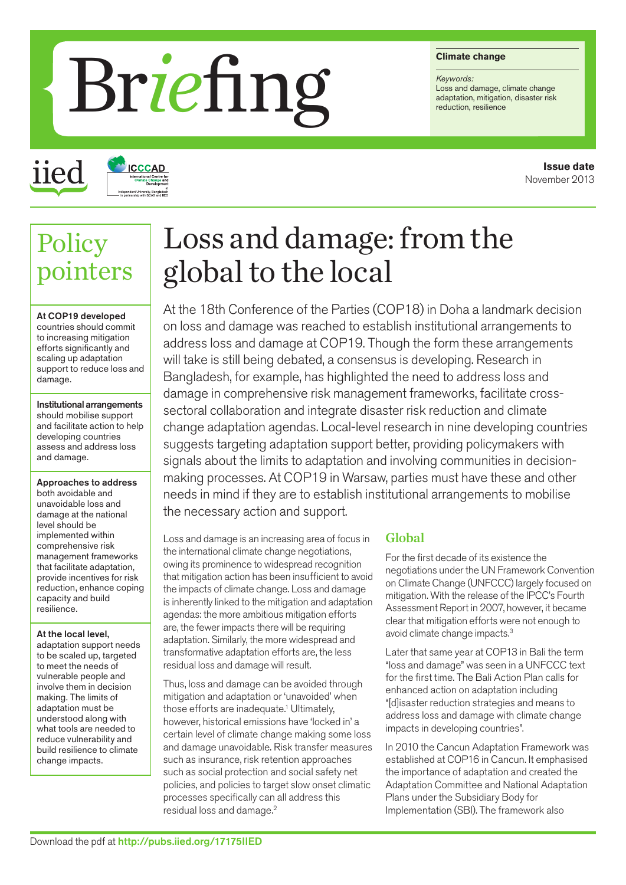#### **Climate change**

*Keywords:* Loss and damage, climate change<br>adaptation, mitigation, disaster risk

# Brief **Chinate change**

iied

Policy

## **ICCCAD**

## Loss and damage: from the global to the local

At the 18th Conference of the Parties (COP18) in Doha a landmark decision on loss and damage was reached to establish institutional arrangements to address loss and damage at COP19. Though the form these arrangements will take is still being debated, a consensus is developing. Research in Bangladesh, for example, has highlighted the need to address loss and damage in comprehensive risk management frameworks, facilitate crosssectoral collaboration and integrate disaster risk reduction and climate change adaptation agendas. Local-level research in nine developing countries suggests targeting adaptation support better, providing policymakers with signals about the limits to adaptation and involving communities in decisionmaking processes. At COP19 in Warsaw, parties must have these and other needs in mind if they are to establish institutional arrangements to mobilise the necessary action and support.

Loss and damage is an increasing area of focus in the international climate change negotiations, owing its prominence to widespread recognition that mitigation action has been insufficient to avoid the impacts of climate change. Loss and damage is inherently linked to the mitigation and adaptation agendas: the more ambitious mitigation efforts are, the fewer impacts there will be requiring adaptation. Similarly, the more widespread and transformative adaptation efforts are, the less residual loss and damage will result.

Thus, loss and damage can be avoided through mitigation and adaptation or 'unavoided' when those efforts are inadequate.<sup>1</sup> Ultimately, however, historical emissions have 'locked in' a certain level of climate change making some loss and damage unavoidable. Risk transfer measures such as insurance, risk retention approaches such as social protection and social safety net policies, and policies to target slow onset climatic processes specifically can all address this residual loss and damage.2

#### Global

For the first decade of its existence the negotiations under the UN Framework Convention on Climate Change (UNFCCC) largely focused on mitigation. With the release of the IPCC's Fourth Assessment Report in 2007, however, it became clear that mitigation efforts were not enough to avoid climate change impacts.3

Later that same year at COP13 in Bali the term "loss and damage" was seen in a UNFCCC text for the first time. The Bali Action Plan calls for enhanced action on adaptation including "[d]isaster reduction strategies and means to address loss and damage with climate change impacts in developing countries".

In 2010 the Cancun Adaptation Framework was established at COP16 in Cancun. It emphasised the importance of adaptation and created the Adaptation Committee and National Adaptation Plans under the Subsidiary Body for Implementation (SBI). The framework also

At COP19 developed countries should commit to increasing mitigation efforts significantly and scaling up adaptation support to reduce loss and damage.

pointers

Institutional arrangements should mobilise support and facilitate action to help developing countries assess and address loss and damage.

Approaches to address both avoidable and unavoidable loss and damage at the national level should be implemented within comprehensive risk management frameworks that facilitate adaptation, provide incentives for risk reduction, enhance coping capacity and build resilience.

At the local level,

adaptation support needs to be scaled up, targeted to meet the needs of vulnerable people and involve them in decision making. The limits of adaptation must be understood along with what tools are needed to reduce vulnerability and build resilience to climate change impacts.

#### **Issue date** November 2013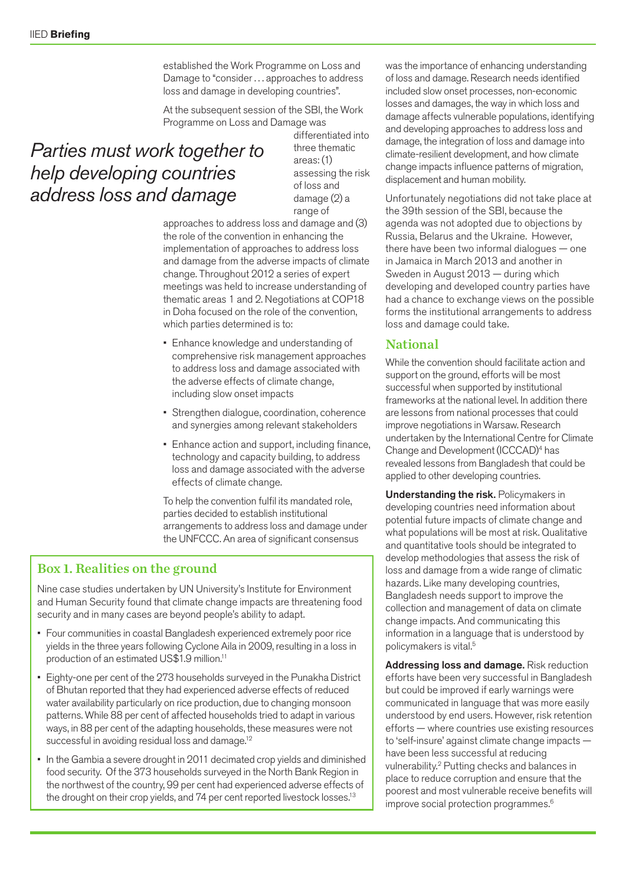established the Work Programme on Loss and Damage to "consider . . . approaches to address loss and damage in developing countries".

At the subsequent session of the SBI, the Work Programme on Loss and Damage was

### *Parties must work together to help developing countries address loss and damage*

differentiated into three thematic areas: (1) assessing the risk of loss and damage (2) a range of

approaches to address loss and damage and (3) the role of the convention in enhancing the implementation of approaches to address loss and damage from the adverse impacts of climate change. Throughout 2012 a series of expert meetings was held to increase understanding of thematic areas 1 and 2. Negotiations at COP18 in Doha focused on the role of the convention, which parties determined is to:

- • Enhance knowledge and understanding of comprehensive risk management approaches to address loss and damage associated with the adverse effects of climate change, including slow onset impacts
- Strengthen dialogue, coordination, coherence and synergies among relevant stakeholders
- Enhance action and support, including finance, technology and capacity building, to address loss and damage associated with the adverse effects of climate change.

To help the convention fulfil its mandated role, parties decided to establish institutional arrangements to address loss and damage under the UNFCCC. An area of significant consensus

#### Box 1. Realities on the ground

Nine case studies undertaken by UN University's Institute for Environment and Human Security found that climate change impacts are threatening food security and in many cases are beyond people's ability to adapt.

- Four communities in coastal Bangladesh experienced extremely poor rice yields in the three years following Cyclone Aila in 2009, resulting in a loss in production of an estimated US\$1.9 million.11
- Eighty-one per cent of the 273 households surveyed in the Punakha District of Bhutan reported that they had experienced adverse effects of reduced water availability particularly on rice production, due to changing monsoon patterns. While 88 per cent of affected households tried to adapt in various ways, in 88 per cent of the adapting households, these measures were not successful in avoiding residual loss and damage.<sup>12</sup>
- In the Gambia a severe drought in 2011 decimated crop yields and diminished food security. Of the 373 households surveyed in the North Bank Region in the northwest of the country, 99 per cent had experienced adverse effects of the drought on their crop yields, and 74 per cent reported livestock losses.<sup>13</sup>

was the importance of enhancing understanding of loss and damage. Research needs identified included slow onset processes, non-economic losses and damages, the way in which loss and damage affects vulnerable populations, identifying and developing approaches to address loss and damage, the integration of loss and damage into climate-resilient development, and how climate change impacts influence patterns of migration, displacement and human mobility.

Unfortunately negotiations did not take place at the 39th session of the SBI, because the agenda was not adopted due to objections by Russia, Belarus and the Ukraine. However, there have been two informal dialogues — one in Jamaica in March 2013 and another in Sweden in August 2013 — during which developing and developed country parties have had a chance to exchange views on the possible forms the institutional arrangements to address loss and damage could take.

#### National

While the convention should facilitate action and support on the ground, efforts will be most successful when supported by institutional frameworks at the national level. In addition there are lessons from national processes that could improve negotiations in Warsaw. Research undertaken by the International Centre for Climate Change and Development (ICCCAD)4 has revealed lessons from Bangladesh that could be applied to other developing countries.

Understanding the risk. Policymakers in developing countries need information about potential future impacts of climate change and what populations will be most at risk. Qualitative and quantitative tools should be integrated to develop methodologies that assess the risk of loss and damage from a wide range of climatic hazards. Like many developing countries, Bangladesh needs support to improve the collection and management of data on climate change impacts. And communicating this information in a language that is understood by policymakers is vital.5

Addressing loss and damage. Risk reduction efforts have been very successful in Bangladesh but could be improved if early warnings were communicated in language that was more easily understood by end users. However, risk retention efforts — where countries use existing resources to 'self-insure' against climate change impacts have been less successful at reducing vulnerability.2 Putting checks and balances in place to reduce corruption and ensure that the poorest and most vulnerable receive benefits will improve social protection programmes.<sup>6</sup>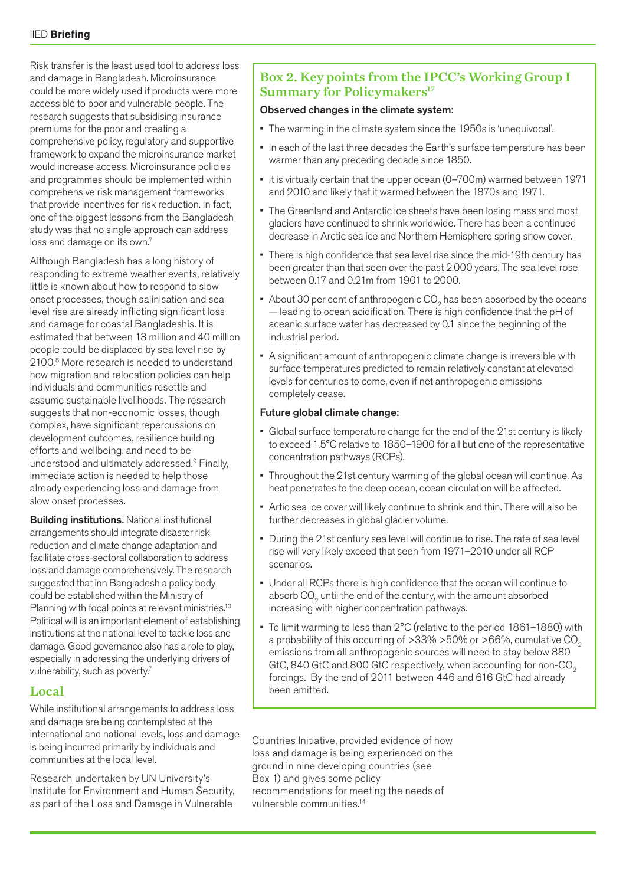Risk transfer is the least used tool to address loss and damage in Bangladesh. Microinsurance could be more widely used if products were more accessible to poor and vulnerable people. The research suggests that subsidising insurance premiums for the poor and creating a comprehensive policy, regulatory and supportive framework to expand the microinsurance market would increase access. Microinsurance policies and programmes should be implemented within comprehensive risk management frameworks that provide incentives for risk reduction. In fact, one of the biggest lessons from the Bangladesh study was that no single approach can address loss and damage on its own.<sup>7</sup>

Although Bangladesh has a long history of responding to extreme weather events, relatively little is known about how to respond to slow onset processes, though salinisation and sea level rise are already inflicting significant loss and damage for coastal Bangladeshis. It is estimated that between 13 million and 40 million people could be displaced by sea level rise by 2100.8 More research is needed to understand how migration and relocation policies can help individuals and communities resettle and assume sustainable livelihoods. The research suggests that non-economic losses, though complex, have significant repercussions on development outcomes, resilience building efforts and wellbeing, and need to be understood and ultimately addressed.9 Finally, immediate action is needed to help those already experiencing loss and damage from slow onset processes.

Building institutions. National institutional arrangements should integrate disaster risk reduction and climate change adaptation and facilitate cross-sectoral collaboration to address loss and damage comprehensively. The research suggested that inn Bangladesh a policy body could be established within the Ministry of Planning with focal points at relevant ministries.<sup>10</sup> Political will is an important element of establishing institutions at the national level to tackle loss and damage. Good governance also has a role to play, especially in addressing the underlying drivers of vulnerability, such as poverty<sup>7</sup>

#### Local

While institutional arrangements to address loss and damage are being contemplated at the international and national levels, loss and damage is being incurred primarily by individuals and communities at the local level.

Research undertaken by UN University's Institute for Environment and Human Security, as part of the Loss and Damage in Vulnerable

#### Box 2. Key points from the IPCC's Working Group I Summary for Policymakers<sup>17</sup>

#### Observed changes in the climate system:

- The warming in the climate system since the 1950s is 'unequivocal'.
- In each of the last three decades the Earth's surface temperature has been warmer than any preceding decade since 1850.
- It is virtually certain that the upper ocean (0–700m) warmed between 1971 and 2010 and likely that it warmed between the 1870s and 1971.
- The Greenland and Antarctic ice sheets have been losing mass and most glaciers have continued to shrink worldwide. There has been a continued decrease in Arctic sea ice and Northern Hemisphere spring snow cover.
- There is high confidence that sea level rise since the mid-19th century has been greater than that seen over the past 2,000 years. The sea level rose between 0.17 and 0.21m from 1901 to 2000.
- About 30 per cent of anthropogenic  $CO<sub>o</sub>$  has been absorbed by the oceans — leading to ocean acidification. There is high confidence that the pH of aceanic surface water has decreased by 0.1 since the beginning of the industrial period.
- • A significant amount of anthropogenic climate change is irreversible with surface temperatures predicted to remain relatively constant at elevated levels for centuries to come, even if net anthropogenic emissions completely cease.

#### Future global climate change:

- Global surface temperature change for the end of the 21st century is likely to exceed 1.5°C relative to 1850–1900 for all but one of the representative concentration pathways (RCPs).
- Throughout the 21st century warming of the global ocean will continue. As heat penetrates to the deep ocean, ocean circulation will be affected.
- Artic sea ice cover will likely continue to shrink and thin. There will also be further decreases in global glacier volume.
- During the 21st century sea level will continue to rise. The rate of sea level rise will very likely exceed that seen from 1971–2010 under all RCP scenarios.
- Under all RCPs there is high confidence that the ocean will continue to absorb CO<sub>2</sub> until the end of the century, with the amount absorbed increasing with higher concentration pathways.
- To limit warming to less than 2°C (relative to the period 1861–1880) with a probability of this occurring of  $>33\% > 50\%$  or  $>66\%$ , cumulative CO<sub>2</sub> emissions from all anthropogenic sources will need to stay below 880 GtC, 840 GtC and 800 GtC respectively, when accounting for non-CO<sub>2</sub> forcings. By the end of 2011 between 446 and 616 GtC had already been emitted.

Countries Initiative, provided evidence of how loss and damage is being experienced on the ground in nine developing countries (see Box 1) and gives some policy recommendations for meeting the needs of vulnerable communities.14